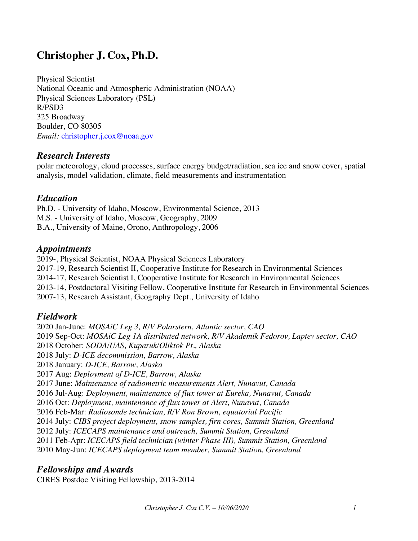# **Christopher J. Cox, Ph.D.**

Physical Scientist National Oceanic and Atmospheric Administration (NOAA) Physical Sciences Laboratory (PSL) R/PSD3 325 Broadway Boulder, CO 80305 *Email:* christopher.j.cox@noaa.gov

## *Research Interests*

polar meteorology, cloud processes, surface energy budget/radiation, sea ice and snow cover, spatial analysis, model validation, climate, field measurements and instrumentation

# *Education*

Ph.D. - University of Idaho, Moscow, Environmental Science, 2013 M.S. - University of Idaho, Moscow, Geography, 2009 B.A., University of Maine, Orono, Anthropology, 2006

#### *Appointments*

2019-, Physical Scientist, NOAA Physical Sciences Laboratory 2017-19, Research Scientist II, Cooperative Institute for Research in Environmental Sciences 2014-17, Research Scientist I, Cooperative Institute for Research in Environmental Sciences 2013-14, Postdoctoral Visiting Fellow, Cooperative Institute for Research in Environmental Sciences 2007-13, Research Assistant, Geography Dept., University of Idaho

## *Fieldwork*

 Jan-June: *MOSAiC Leg 3, R/V Polarstern, Atlantic sector, CAO* Sep-Oct: *MOSAiC Leg 1A distributed network, R/V Akademik Fedorov, Laptev sector, CAO* October: *SODA/UAS, Kuparuk/Oliktok Pt., Alaska* July: *D-ICE decommission, Barrow, Alaska* January: *D-ICE, Barrow, Alaska* Aug: *Deployment of D-ICE, Barrow, Alaska* June: *Maintenance of radiometric measurements Alert, Nunavut, Canada* Jul-Aug: *Deployment, maintenance of flux tower at Eureka, Nunavut, Canada* Oct: *Deployment, maintenance of flux tower at Alert, Nunavut, Canada* Feb-Mar: *Radiosonde technician, R/V Ron Brown, equatorial Pacific* July: *CIBS project deployment, snow samples, firn cores, Summit Station, Greenland* July: *ICECAPS maintenance and outreach, Summit Station, Greenland* Feb-Apr: *ICECAPS field technician (winter Phase III), Summit Station, Greenland* May-Jun: *ICECAPS deployment team member, Summit Station, Greenland*

## *Fellowships and Awards*

CIRES Postdoc Visiting Fellowship, 2013-2014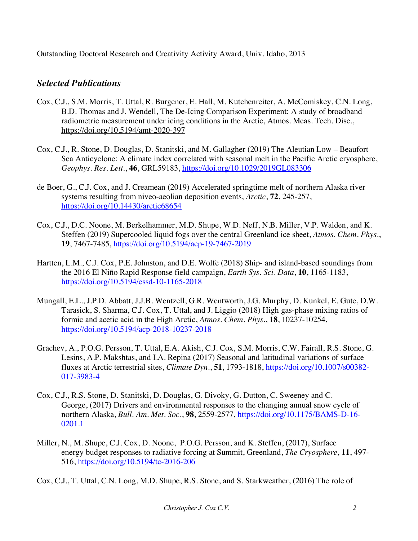Outstanding Doctoral Research and Creativity Activity Award, Univ. Idaho, 2013

# *Selected Publications*

- Cox, C.J., S.M. Morris, T. Uttal, R. Burgener, E. Hall, M. Kutchenreiter, A. McComiskey, C.N. Long, B.D. Thomas and J. Wendell, The De-Icing Comparison Experiment: A study of broadband radiometric measurement under icing conditions in the Arctic, Atmos. Meas. Tech. Disc., https://doi.org/10.5194/amt-2020-397
- Cox, C.J., R. Stone, D. Douglas, D. Stanitski, and M. Gallagher (2019) The Aleutian Low Beaufort Sea Anticyclone: A climate index correlated with seasonal melt in the Pacific Arctic cryosphere, *Geophys. Res. Lett.*, **46**, GRL59183, https://doi.org/10.1029/2019GL083306
- de Boer, G., C.J. Cox, and J. Creamean (2019) Accelerated springtime melt of northern Alaska river systems resulting from niveo-aeolian deposition events, *Arctic*, **72**, 245-257, https://doi.org/10.14430/arctic68654
- Cox, C.J., D.C. Noone, M. Berkelhammer, M.D. Shupe, W.D. Neff, N.B. Miller, V.P. Walden, and K. Steffen (2019) Supercooled liquid fogs over the central Greenland ice sheet, *Atmos. Chem. Phys.*, **19**, 7467-7485, https://doi.org/10.5194/acp-19-7467-2019
- Hartten, L.M., C.J. Cox, P.E. Johnston, and D.E. Wolfe (2018) Ship- and island-based soundings from the 2016 El Niño Rapid Response field campaign, *Earth Sys. Sci. Data*, **10**, 1165-1183, https://doi.org/10.5194/essd-10-1165-2018
- Mungall, E.L., J.P.D. Abbatt, J.J.B. Wentzell, G.R. Wentworth, J.G. Murphy, D. Kunkel, E. Gute, D.W. Tarasick, S. Sharma, C.J. Cox, T. Uttal, and J. Liggio (2018) High gas-phase mixing ratios of formic and acetic acid in the High Arctic, *Atmos. Chem. Phys.*, **18**, 10237-10254, https://doi.org/10.5194/acp-2018-10237-2018
- Grachev, A., P.O.G. Persson, T. Uttal, E.A. Akish, C.J. Cox, S.M. Morris, C.W. Fairall, R.S. Stone, G. Lesins, A.P. Makshtas, and I.A. Repina (2017) Seasonal and latitudinal variations of surface fluxes at Arctic terrestrial sites, *Climate Dyn.*, **51**, 1793-1818, https://doi.org/10.1007/s00382- 017-3983-4
- Cox, C.J., R.S. Stone, D. Stanitski, D. Douglas, G. Divoky, G. Dutton, C. Sweeney and C. George, (2017) Drivers and environmental responses to the changing annual snow cycle of northern Alaska, *Bull. Am. Met. Soc.*, **98**, 2559-2577, https://doi.org/10.1175/BAMS-D-16- 0201.1
- Miller, N., M. Shupe, C.J. Cox, D. Noone, P.O.G. Persson, and K. Steffen, (2017), Surface energy budget responses to radiative forcing at Summit, Greenland, *The Cryosphere*, **11**, 497- 516, https://doi.org/10.5194/tc-2016-206

Cox, C.J., T. Uttal, C.N. Long, M.D. Shupe, R.S. Stone, and S. Starkweather, (2016) The role of